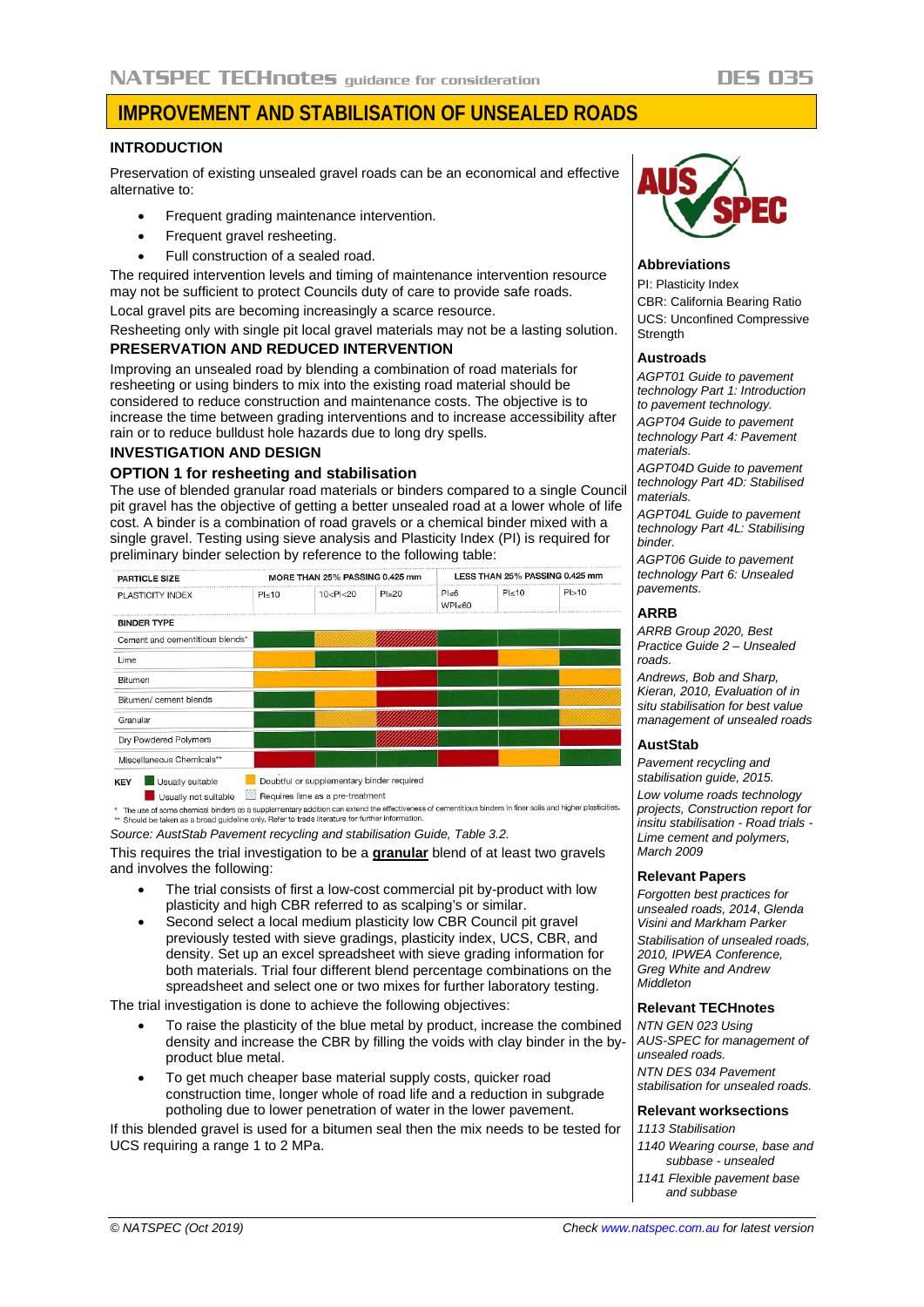# **IMPROVEMENT AND STABILISATION OF UNSEALED ROADS**

### **INTRODUCTION**

Preservation of existing unsealed gravel roads can be an economical and effective alternative to:

- Frequent grading maintenance intervention.
- Frequent gravel resheeting.
- Full construction of a sealed road.

The required intervention levels and timing of maintenance intervention resource may not be sufficient to protect Councils duty of care to provide safe roads. Local gravel pits are becoming increasingly a scarce resource.

Resheeting only with single pit local gravel materials may not be a lasting solution.

# **PRESERVATION AND REDUCED INTERVENTION**

Improving an unsealed road by blending a combination of road materials for resheeting or using binders to mix into the existing road material should be considered to reduce construction and maintenance costs. The objective is to increase the time between grading interventions and to increase accessibility after rain or to reduce bulldust hole hazards due to long dry spells.

#### **INVESTIGATION AND DESIGN**

# **OPTION 1 for resheeting and stabilisation**

The use of blended granular road materials or binders compared to a single Council pit gravel has the objective of getting a better unsealed road at a lower whole of life cost. A binder is a combination of road gravels or a chemical binder mixed with a single gravel. Testing using sieve analysis and Plasticity Index (PI) is required for preliminary binder selection by reference to the following table:

| <b>PARTICLE SIZE</b>            |              | MORE THAN 25% PASSING 0.425 mm                                                                                                                                  |              |                                  | LESS THAN 25% PASSING 0.425 mm |       |  |
|---------------------------------|--------------|-----------------------------------------------------------------------------------------------------------------------------------------------------------------|--------------|----------------------------------|--------------------------------|-------|--|
| PLASTICITY INDEX                | $PI \leq 10$ | 10 <pl<20< th=""><th><math>Pl \geq 20</math></th><th><math>Pl \leq 6</math><br/>WPI<sub>50</sub></th><th><math>PI \leq 10</math></th><th>PI&gt;10</th></pl<20<> | $Pl \geq 20$ | $Pl \leq 6$<br>WPI <sub>50</sub> | $PI \leq 10$                   | PI>10 |  |
| <b>BINDER TYPE</b>              |              |                                                                                                                                                                 |              |                                  |                                |       |  |
| Cement and cementitious blends* |              |                                                                                                                                                                 |              |                                  |                                |       |  |
| Lime                            |              |                                                                                                                                                                 |              |                                  |                                |       |  |
| <b>Bitumen</b>                  |              |                                                                                                                                                                 |              |                                  |                                |       |  |
| Bitumen/ cement blends          |              |                                                                                                                                                                 |              |                                  |                                |       |  |
| Granular                        |              |                                                                                                                                                                 |              |                                  |                                |       |  |
| Dry Powdered Polymers           |              |                                                                                                                                                                 |              |                                  |                                |       |  |
| Miscellaneous Chemicals**       |              |                                                                                                                                                                 |              |                                  |                                |       |  |

Usually not suitable **2** Requires lime as a pre-treatment \* The use of some chemical binders as a supplementary addition can extend the effectiveness of cementitious binders in finer soils and higher plasticities.<br>\*\* Should be taken as a broad guideline only. Refer to trade liter

*Source: AustStab Pavement recycling and stabilisation Guide, Table 3.2.*

This requires the trial investigation to be a **granular** blend of at least two gravels and involves the following:

- The trial consists of first a low-cost commercial pit by-product with low plasticity and high CBR referred to as scalping's or similar.
- Second select a local medium plasticity low CBR Council pit gravel previously tested with sieve gradings, plasticity index, UCS, CBR, and density. Set up an excel spreadsheet with sieve grading information for both materials. Trial four different blend percentage combinations on the spreadsheet and select one or two mixes for further laboratory testing.

The trial investigation is done to achieve the following objectives:

- To raise the plasticity of the blue metal by product, increase the combined density and increase the CBR by filling the voids with clay binder in the byproduct blue metal.
- To get much cheaper base material supply costs, quicker road construction time, longer whole of road life and a reduction in subgrade potholing due to lower penetration of water in the lower pavement.

If this blended gravel is used for a bitumen seal then the mix needs to be tested for UCS requiring a range 1 to 2 MPa.



### **Abbreviations**

PI: Plasticity Index CBR: California Bearing Ratio UCS: Unconfined Compressive **Strength** 

#### **Austroads**

*AGPT01 Guide to pavement technology Part 1: Introduction to pavement technology.*

*AGPT04 Guide to pavement technology Part 4: Pavement materials.*

*AGPT04D Guide to pavement technology Part 4D: Stabilised materials.*

*AGPT04L Guide to pavement technology Part 4L: Stabilising binder.*

*AGPT06 Guide to pavement technology Part 6: Unsealed pavements.*

#### **ARRB**

*ARRB Group 2020, Best Practice Guide 2 – Unsealed roads.*

*Andrews, Bob and Sharp, Kieran, 2010, Evaluation of in situ stabilisation for best value management of unsealed roads*

#### **AustStab**

*Pavement recycling and stabilisation guide, 2015. Low volume roads technology projects, Construction report for insitu stabilisation - Road trials - Lime cement and polymers, March 2009*

#### **Relevant Papers**

*Forgotten best practices for unsealed roads, 2014*, *Glenda Visini and Markham Parker*

*Stabilisation of unsealed roads, 2010, IPWEA Conference, Greg White and Andrew Middleton*

#### **Relevant TECHnotes**

*NTN GEN 023 Using AUS-SPEC for management of unsealed roads. NTN DES 034 Pavement* 

*stabilisation for unsealed roads.*

# **Relevant worksections**

*1113 Stabilisation*

- *1140 Wearing course, base and subbase - unsealed*
- *1141 Flexible pavement base and subbase*